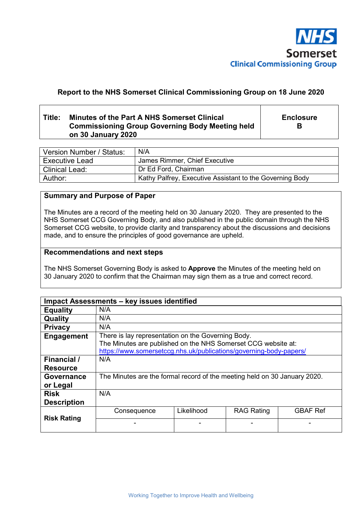

# **Report to the NHS Somerset Clinical Commissioning Group on 18 June 2020**

# **Title: Minutes of the Part A NHS Somerset Clinical Commissioning Group Governing Body Meeting held on 30 January 2020**

**Enclosure B** 

| Version Number / Status: | N/A                                                      |
|--------------------------|----------------------------------------------------------|
| <b>Executive Lead</b>    | James Rimmer, Chief Executive                            |
| l Clinical Lead:         | Dr Ed Ford, Chairman                                     |
| Author:                  | Kathy Palfrey, Executive Assistant to the Governing Body |

## **Summary and Purpose of Paper**

The Minutes are a record of the meeting held on 30 January 2020. They are presented to the NHS Somerset CCG Governing Body, and also published in the public domain through the NHS Somerset CCG website, to provide clarity and transparency about the discussions and decisions made, and to ensure the principles of good governance are upheld.

#### **Recommendations and next steps**

The NHS Somerset Governing Body is asked to **Approve** the Minutes of the meeting held on 30 January 2020 to confirm that the Chairman may sign them as a true and correct record.

| Impact Assessments - key issues identified |                                                                                                                                                                                           |            |                   |                 |
|--------------------------------------------|-------------------------------------------------------------------------------------------------------------------------------------------------------------------------------------------|------------|-------------------|-----------------|
| <b>Equality</b>                            | N/A                                                                                                                                                                                       |            |                   |                 |
| Quality                                    | N/A                                                                                                                                                                                       |            |                   |                 |
| <b>Privacy</b>                             | N/A                                                                                                                                                                                       |            |                   |                 |
| Engagement                                 | There is lay representation on the Governing Body.<br>The Minutes are published on the NHS Somerset CCG website at:<br>https://www.somersetccg.nhs.uk/publications/governing-body-papers/ |            |                   |                 |
| Financial /<br><b>Resource</b>             | N/A                                                                                                                                                                                       |            |                   |                 |
| <b>Governance</b><br>or Legal              | The Minutes are the formal record of the meeting held on 30 January 2020.                                                                                                                 |            |                   |                 |
| <b>Risk</b><br><b>Description</b>          | N/A                                                                                                                                                                                       |            |                   |                 |
|                                            | Consequence                                                                                                                                                                               | Likelihood | <b>RAG Rating</b> | <b>GBAF Ref</b> |
| <b>Risk Rating</b>                         |                                                                                                                                                                                           |            |                   |                 |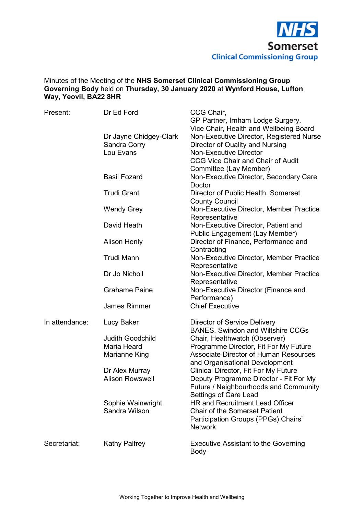

# Minutes of the Meeting of the **NHS Somerset Clinical Commissioning Group Governing Body** held on **Thursday, 30 January 2020** at **Wynford House, Lufton Way, Yeovil, BA22 8HR**

| Present:       | Dr Ed Ford                                          | CCG Chair,<br>GP Partner, Irnham Lodge Surgery,<br>Vice Chair, Health and Wellbeing Board                                                                |
|----------------|-----------------------------------------------------|----------------------------------------------------------------------------------------------------------------------------------------------------------|
|                | Dr Jayne Chidgey-Clark<br>Sandra Corry<br>Lou Evans | Non-Executive Director, Registered Nurse<br>Director of Quality and Nursing<br><b>Non-Executive Director</b><br><b>CCG Vice Chair and Chair of Audit</b> |
|                | <b>Basil Fozard</b>                                 | Committee (Lay Member)<br>Non-Executive Director, Secondary Care<br>Doctor                                                                               |
|                | <b>Trudi Grant</b>                                  | Director of Public Health, Somerset<br><b>County Council</b>                                                                                             |
|                | <b>Wendy Grey</b>                                   | Non-Executive Director, Member Practice<br>Representative                                                                                                |
|                | David Heath                                         | Non-Executive Director, Patient and<br><b>Public Engagement (Lay Member)</b>                                                                             |
|                | <b>Alison Henly</b>                                 | Director of Finance, Performance and<br>Contracting                                                                                                      |
|                | Trudi Mann                                          | Non-Executive Director, Member Practice<br>Representative                                                                                                |
|                | Dr Jo Nicholl                                       | Non-Executive Director, Member Practice<br>Representative                                                                                                |
|                | <b>Grahame Paine</b>                                | Non-Executive Director (Finance and<br>Performance)                                                                                                      |
|                | <b>James Rimmer</b>                                 | <b>Chief Executive</b>                                                                                                                                   |
| In attendance: | Lucy Baker                                          | Director of Service Delivery<br><b>BANES, Swindon and Wiltshire CCGs</b>                                                                                 |
|                | <b>Judith Goodchild</b>                             | Chair, Healthwatch (Observer)                                                                                                                            |
|                | Maria Heard                                         | Programme Director, Fit For My Future                                                                                                                    |
|                | Marianne King                                       | <b>Associate Director of Human Resources</b>                                                                                                             |
|                |                                                     | and Organisational Development                                                                                                                           |
|                | Dr Alex Murray                                      | <b>Clinical Director, Fit For My Future</b>                                                                                                              |
|                | <b>Alison Rowswell</b>                              | Deputy Programme Director - Fit For My<br>Future / Neighbourhoods and Community                                                                          |
|                |                                                     | <b>Settings of Care Lead</b>                                                                                                                             |
|                | Sophie Wainwright                                   | HR and Recruitment Lead Officer                                                                                                                          |
|                | Sandra Wilson                                       | <b>Chair of the Somerset Patient</b><br>Participation Groups (PPGs) Chairs'<br><b>Network</b>                                                            |
| Secretariat:   | <b>Kathy Palfrey</b>                                | <b>Executive Assistant to the Governing</b><br>Body                                                                                                      |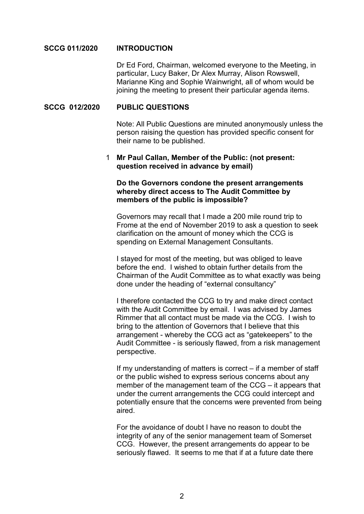### **SCCG 011/2020 INTRODUCTION**

Dr Ed Ford, Chairman, welcomed everyone to the Meeting, in particular, Lucy Baker, Dr Alex Murray, Alison Rowswell, Marianne King and Sophie Wainwright, all of whom would be joining the meeting to present their particular agenda items.

### **SCCG 012/2020 PUBLIC QUESTIONS**

 Note: All Public Questions are minuted anonymously unless the person raising the question has provided specific consent for their name to be published.

# 1 **Mr Paul Callan, Member of the Public: (not present: question received in advance by email)**

# **Do the Governors condone the present arrangements whereby direct access to The Audit Committee by members of the public is impossible?**

Governors may recall that I made a 200 mile round trip to Frome at the end of November 2019 to ask a question to seek clarification on the amount of money which the CCG is spending on External Management Consultants.

I stayed for most of the meeting, but was obliged to leave before the end. I wished to obtain further details from the Chairman of the Audit Committee as to what exactly was being done under the heading of "external consultancy"

I therefore contacted the CCG to try and make direct contact with the Audit Committee by email. I was advised by James Rimmer that all contact must be made via the CCG. I wish to bring to the attention of Governors that I believe that this arrangement - whereby the CCG act as "gatekeepers" to the Audit Committee - is seriously flawed, from a risk management perspective.

If my understanding of matters is correct – if a member of staff or the public wished to express serious concerns about any member of the management team of the CCG – it appears that under the current arrangements the CCG could intercept and potentially ensure that the concerns were prevented from being aired.

For the avoidance of doubt I have no reason to doubt the integrity of any of the senior management team of Somerset CCG. However, the present arrangements do appear to be seriously flawed. It seems to me that if at a future date there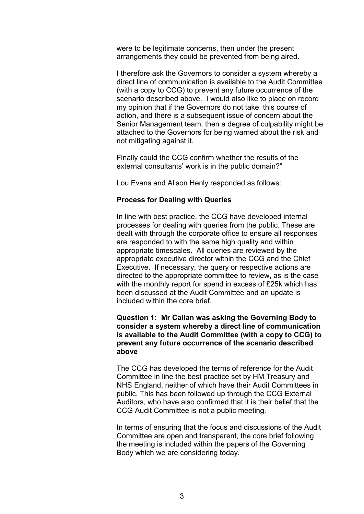were to be legitimate concerns, then under the present arrangements they could be prevented from being aired.

I therefore ask the Governors to consider a system whereby a direct line of communication is available to the Audit Committee (with a copy to CCG) to prevent any future occurrence of the scenario described above. I would also like to place on record my opinion that if the Governors do not take this course of action, and there is a subsequent issue of concern about the Senior Management team, then a degree of culpability might be attached to the Governors for being warned about the risk and not mitigating against it.

Finally could the CCG confirm whether the results of the external consultants' work is in the public domain?"

Lou Evans and Alison Henly responded as follows:

#### **Process for Dealing with Queries**

In line with best practice, the CCG have developed internal processes for dealing with queries from the public. These are dealt with through the corporate office to ensure all responses are responded to with the same high quality and within appropriate timescales. All queries are reviewed by the appropriate executive director within the CCG and the Chief Executive. If necessary, the query or respective actions are directed to the appropriate committee to review, as is the case with the monthly report for spend in excess of £25k which has been discussed at the Audit Committee and an update is included within the core brief.

# **Question 1: Mr Callan was asking the Governing Body to consider a system whereby a direct line of communication is available to the Audit Committee (with a copy to CCG) to prevent any future occurrence of the scenario described above**

The CCG has developed the terms of reference for the Audit Committee in line the best practice set by HM Treasury and NHS England, neither of which have their Audit Committees in public. This has been followed up through the CCG External Auditors, who have also confirmed that it is their belief that the CCG Audit Committee is not a public meeting.

In terms of ensuring that the focus and discussions of the Audit Committee are open and transparent, the core brief following the meeting is included within the papers of the Governing Body which we are considering today.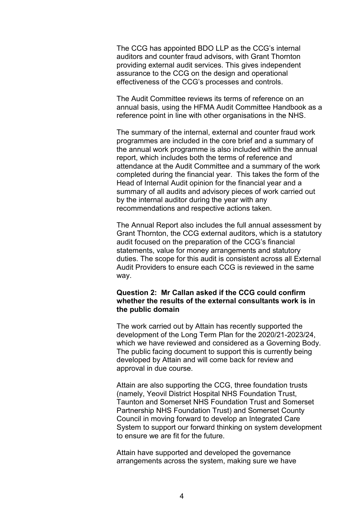The CCG has appointed BDO LLP as the CCG's internal auditors and counter fraud advisors, with Grant Thornton providing external audit services. This gives independent assurance to the CCG on the design and operational effectiveness of the CCG's processes and controls.

The Audit Committee reviews its terms of reference on an annual basis, using the HFMA Audit Committee Handbook as a reference point in line with other organisations in the NHS.

The summary of the internal, external and counter fraud work programmes are included in the core brief and a summary of the annual work programme is also included within the annual report, which includes both the terms of reference and attendance at the Audit Committee and a summary of the work completed during the financial year. This takes the form of the Head of Internal Audit opinion for the financial year and a summary of all audits and advisory pieces of work carried out by the internal auditor during the year with any recommendations and respective actions taken.

The Annual Report also includes the full annual assessment by Grant Thornton, the CCG external auditors, which is a statutory audit focused on the preparation of the CCG's financial statements, value for money arrangements and statutory duties. The scope for this audit is consistent across all External Audit Providers to ensure each CCG is reviewed in the same way.

# **Question 2: Mr Callan asked if the CCG could confirm whether the results of the external consultants work is in the public domain**

The work carried out by Attain has recently supported the development of the Long Term Plan for the 2020/21-2023/24, which we have reviewed and considered as a Governing Body. The public facing document to support this is currently being developed by Attain and will come back for review and approval in due course.

Attain are also supporting the CCG, three foundation trusts (namely, Yeovil District Hospital NHS Foundation Trust, Taunton and Somerset NHS Foundation Trust and Somerset Partnership NHS Foundation Trust) and Somerset County Council in moving forward to develop an Integrated Care System to support our forward thinking on system development to ensure we are fit for the future.

Attain have supported and developed the governance arrangements across the system, making sure we have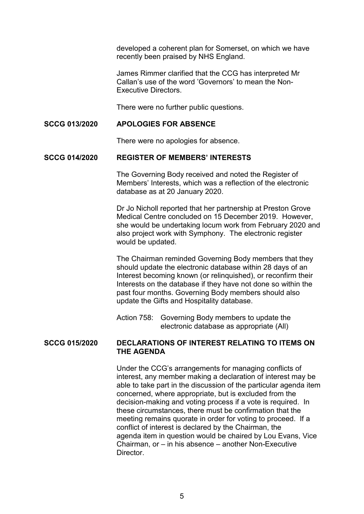developed a coherent plan for Somerset, on which we have recently been praised by NHS England.

James Rimmer clarified that the CCG has interpreted Mr Callan's use of the word 'Governors' to mean the Non-Executive Directors.

There were no further public questions.

# **SCCG 013/2020 APOLOGIES FOR ABSENCE**

There were no apologies for absence.

#### **SCCG 014/2020 REGISTER OF MEMBERS' INTERESTS**

 The Governing Body received and noted the Register of Members' Interests, which was a reflection of the electronic database as at 20 January 2020.

Dr Jo Nicholl reported that her partnership at Preston Grove Medical Centre concluded on 15 December 2019. However, she would be undertaking locum work from February 2020 and also project work with Symphony. The electronic register would be updated.

The Chairman reminded Governing Body members that they should update the electronic database within 28 days of an Interest becoming known (or relinquished), or reconfirm their Interests on the database if they have not done so within the past four months. Governing Body members should also update the Gifts and Hospitality database.

Action 758: Governing Body members to update the electronic database as appropriate (All)

# **SCCG 015/2020 DECLARATIONS OF INTEREST RELATING TO ITEMS ON THE AGENDA**

 Under the CCG's arrangements for managing conflicts of interest, any member making a declaration of interest may be able to take part in the discussion of the particular agenda item concerned, where appropriate, but is excluded from the decision-making and voting process if a vote is required. In these circumstances, there must be confirmation that the meeting remains quorate in order for voting to proceed. If a conflict of interest is declared by the Chairman, the agenda item in question would be chaired by Lou Evans, Vice Chairman, or – in his absence – another Non-Executive Director.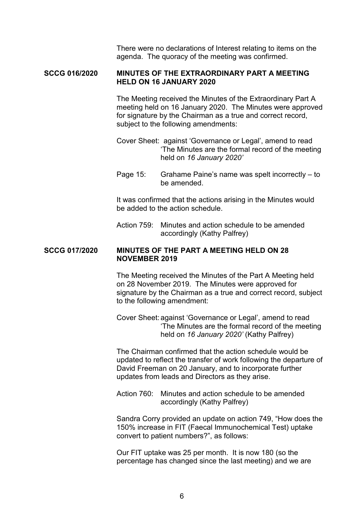There were no declarations of Interest relating to items on the agenda. The quoracy of the meeting was confirmed.

### **SCCG 016/2020 MINUTES OF THE EXTRAORDINARY PART A MEETING HELD ON 16 JANUARY 2020**

 The Meeting received the Minutes of the Extraordinary Part A meeting held on 16 January 2020. The Minutes were approved for signature by the Chairman as a true and correct record, subject to the following amendments:

- Cover Sheet: against 'Governance or Legal', amend to read 'The Minutes are the formal record of the meeting held on *16 January 2020'*
- Page 15: Grahame Paine's name was spelt incorrectly to be amended.

 It was confirmed that the actions arising in the Minutes would be added to the action schedule.

 Action 759: Minutes and action schedule to be amended accordingly (Kathy Palfrey)

# **SCCG 017/2020 MINUTES OF THE PART A MEETING HELD ON 28 NOVEMBER 2019**

 The Meeting received the Minutes of the Part A Meeting held on 28 November 2019. The Minutes were approved for signature by the Chairman as a true and correct record, subject to the following amendment:

 Cover Sheet: against 'Governance or Legal', amend to read 'The Minutes are the formal record of the meeting held on *16 January 2020'* (Kathy Palfrey)

 The Chairman confirmed that the action schedule would be updated to reflect the transfer of work following the departure of David Freeman on 20 January, and to incorporate further updates from leads and Directors as they arise.

 Action 760: Minutes and action schedule to be amended accordingly (Kathy Palfrey)

 Sandra Corry provided an update on action 749, "How does the 150% increase in FIT (Faecal Immunochemical Test) uptake convert to patient numbers?", as follows:

 Our FIT uptake was 25 per month. It is now 180 (so the percentage has changed since the last meeting) and we are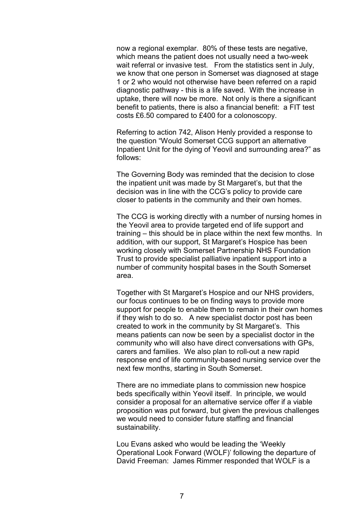now a regional exemplar. 80% of these tests are negative, which means the patient does not usually need a two-week wait referral or invasive test. From the statistics sent in July, we know that one person in Somerset was diagnosed at stage 1 or 2 who would not otherwise have been referred on a rapid diagnostic pathway - this is a life saved. With the increase in uptake, there will now be more. Not only is there a significant benefit to patients, there is also a financial benefit: a FIT test costs £6.50 compared to £400 for a colonoscopy.

 Referring to action 742, Alison Henly provided a response to the question "Would Somerset CCG support an alternative Inpatient Unit for the dying of Yeovil and surrounding area?" as follows:

 The Governing Body was reminded that the decision to close the inpatient unit was made by St Margaret's, but that the decision was in line with the CCG's policy to provide care closer to patients in the community and their own homes.

 The CCG is working directly with a number of nursing homes in the Yeovil area to provide targeted end of life support and training – this should be in place within the next few months. In addition, with our support, St Margaret's Hospice has been working closely with Somerset Partnership NHS Foundation Trust to provide specialist palliative inpatient support into a number of community hospital bases in the South Somerset area.

 Together with St Margaret's Hospice and our NHS providers, our focus continues to be on finding ways to provide more support for people to enable them to remain in their own homes if they wish to do so. A new specialist doctor post has been created to work in the community by St Margaret's. This means patients can now be seen by a specialist doctor in the community who will also have direct conversations with GPs, carers and families. We also plan to roll-out a new rapid response end of life community-based nursing service over the next few months, starting in South Somerset.

 There are no immediate plans to commission new hospice beds specifically within Yeovil itself. In principle, we would consider a proposal for an alternative service offer if a viable proposition was put forward, but given the previous challenges we would need to consider future staffing and financial sustainability.

 Lou Evans asked who would be leading the 'Weekly Operational Look Forward (WOLF)' following the departure of David Freeman: James Rimmer responded that WOLF is a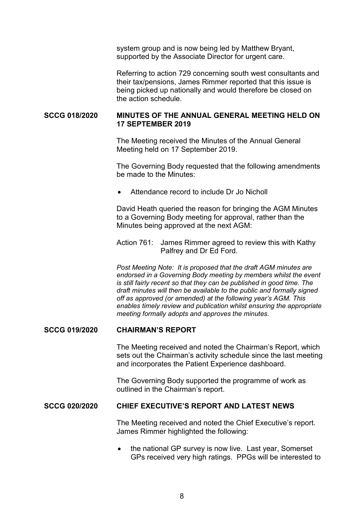system group and is now being led by Matthew Bryant, supported by the Associate Director for urgent care.

 Referring to action 729 concerning south west consultants and their tax/pensions, James Rimmer reported that this issue is being picked up nationally and would therefore be closed on the action schedule.

## **SCCG 018/2020 MINUTES OF THE ANNUAL GENERAL MEETING HELD ON 17 SEPTEMBER 2019**

 The Meeting received the Minutes of the Annual General Meeting held on 17 September 2019.

 The Governing Body requested that the following amendments be made to the Minutes:

Attendance record to include Dr Jo Nicholl

 David Heath queried the reason for bringing the AGM Minutes to a Governing Body meeting for approval, rather than the Minutes being approved at the next AGM:

 Action 761: James Rimmer agreed to review this with Kathy Palfrey and Dr Ed Ford.

*Post Meeting Note: It is proposed that the draft AGM minutes are endorsed in a Governing Body meeting by members whilst the event is still fairly recent so that they can be published in good time. The draft minutes will then be available to the public and formally signed off as approved (or amended) at the following year's AGM. This enables timely review and publication whilst ensuring the appropriate meeting formally adopts and approves the minutes.* 

#### **SCCG 019/2020 CHAIRMAN'S REPORT**

 The Meeting received and noted the Chairman's Report, which sets out the Chairman's activity schedule since the last meeting and incorporates the Patient Experience dashboard.

 The Governing Body supported the programme of work as outlined in the Chairman's report.

### **SCCG 020/2020 CHIEF EXECUTIVE'S REPORT AND LATEST NEWS**

 The Meeting received and noted the Chief Executive's report. James Rimmer highlighted the following:

• the national GP survey is now live. Last year, Somerset GPs received very high ratings. PPGs will be interested to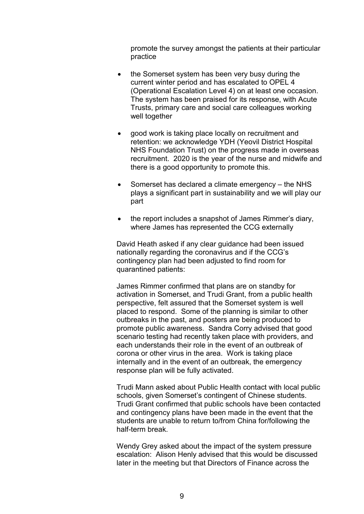promote the survey amongst the patients at their particular practice

- the Somerset system has been very busy during the current winter period and has escalated to OPEL 4 (Operational Escalation Level 4) on at least one occasion. The system has been praised for its response, with Acute Trusts, primary care and social care colleagues working well together
- good work is taking place locally on recruitment and retention: we acknowledge YDH (Yeovil District Hospital NHS Foundation Trust) on the progress made in overseas recruitment. 2020 is the year of the nurse and midwife and there is a good opportunity to promote this.
- Somerset has declared a climate emergency the NHS plays a significant part in sustainability and we will play our part
- the report includes a snapshot of James Rimmer's diary, where James has represented the CCG externally

 David Heath asked if any clear guidance had been issued nationally regarding the coronavirus and if the CCG's contingency plan had been adjusted to find room for quarantined patients:

 James Rimmer confirmed that plans are on standby for activation in Somerset, and Trudi Grant, from a public health perspective, felt assured that the Somerset system is well placed to respond. Some of the planning is similar to other outbreaks in the past, and posters are being produced to promote public awareness. Sandra Corry advised that good scenario testing had recently taken place with providers, and each understands their role in the event of an outbreak of corona or other virus in the area. Work is taking place internally and in the event of an outbreak, the emergency response plan will be fully activated.

 Trudi Mann asked about Public Health contact with local public schools, given Somerset's contingent of Chinese students. Trudi Grant confirmed that public schools have been contacted and contingency plans have been made in the event that the students are unable to return to/from China for/following the half-term break.

 Wendy Grey asked about the impact of the system pressure escalation: Alison Henly advised that this would be discussed later in the meeting but that Directors of Finance across the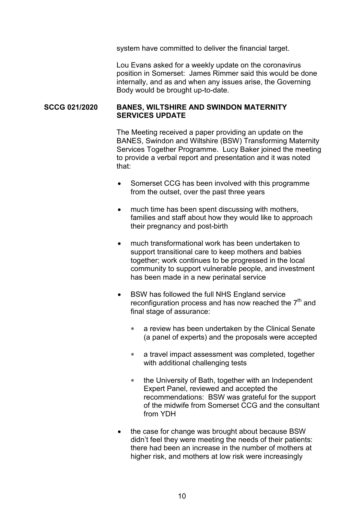system have committed to deliver the financial target.

 Lou Evans asked for a weekly update on the coronavirus position in Somerset: James Rimmer said this would be done internally, and as and when any issues arise, the Governing Body would be brought up-to-date.

### **SCCG 021/2020 BANES, WILTSHIRE AND SWINDON MATERNITY SERVICES UPDATE**

 The Meeting received a paper providing an update on the BANES, Swindon and Wiltshire (BSW) Transforming Maternity Services Together Programme. Lucy Baker joined the meeting to provide a verbal report and presentation and it was noted that:

- Somerset CCG has been involved with this programme from the outset, over the past three years
- much time has been spent discussing with mothers, families and staff about how they would like to approach their pregnancy and post-birth
- much transformational work has been undertaken to support transitional care to keep mothers and babies together; work continues to be progressed in the local community to support vulnerable people, and investment has been made in a new perinatal service
- BSW has followed the full NHS England service reconfiguration process and has now reached the  $7<sup>th</sup>$  and final stage of assurance:
	- a review has been undertaken by the Clinical Senate (a panel of experts) and the proposals were accepted
	- a travel impact assessment was completed, together with additional challenging tests
	- \* the University of Bath, together with an Independent Expert Panel, reviewed and accepted the recommendations: BSW was grateful for the support of the midwife from Somerset CCG and the consultant from YDH
- the case for change was brought about because BSW didn't feel they were meeting the needs of their patients: there had been an increase in the number of mothers at higher risk, and mothers at low risk were increasingly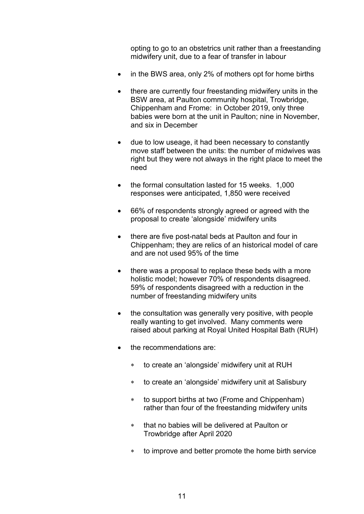opting to go to an obstetrics unit rather than a freestanding midwifery unit, due to a fear of transfer in labour

- in the BWS area, only 2% of mothers opt for home births
- there are currently four freestanding midwifery units in the BSW area, at Paulton community hospital, Trowbridge, Chippenham and Frome: in October 2019, only three babies were born at the unit in Paulton; nine in November, and six in December
- due to low useage, it had been necessary to constantly move staff between the units: the number of midwives was right but they were not always in the right place to meet the need
- the formal consultation lasted for 15 weeks. 1,000 responses were anticipated, 1,850 were received
- 66% of respondents strongly agreed or agreed with the proposal to create 'alongside' midwifery units
- there are five post-natal beds at Paulton and four in Chippenham; they are relics of an historical model of care and are not used 95% of the time
- there was a proposal to replace these beds with a more holistic model; however 70% of respondents disagreed. 59% of respondents disagreed with a reduction in the number of freestanding midwifery units
- the consultation was generally very positive, with people really wanting to get involved. Many comments were raised about parking at Royal United Hospital Bath (RUH)
- the recommendations are:
	- to create an 'alongside' midwifery unit at RUH
	- to create an 'alongside' midwifery unit at Salisbury
	- to support births at two (Frome and Chippenham) rather than four of the freestanding midwifery units
	- that no babies will be delivered at Paulton or Trowbridge after April 2020
	- to improve and better promote the home birth service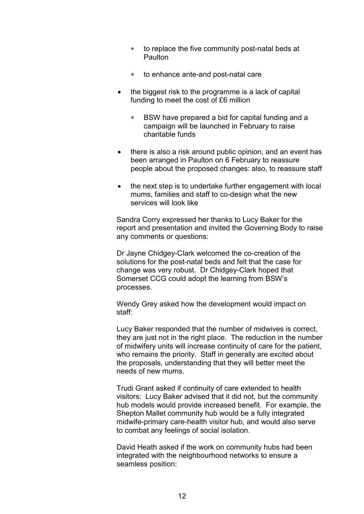- \* to replace the five community post-natal beds at Paulton
- to enhance ante-and post-natal care
- the biggest risk to the programme is a lack of capital funding to meet the cost of £6 million
	- BSW have prepared a bid for capital funding and a campaign will be launched in February to raise charitable funds
- there is also a risk around public opinion, and an event has been arranged in Paulton on 6 February to reassure people about the proposed changes: also, to reassure staff
- the next step is to undertake further engagement with local mums, families and staff to co-design what the new services will look like

 Sandra Corry expressed her thanks to Lucy Baker for the report and presentation and invited the Governing Body to raise any comments or questions:

 Dr Jayne Chidgey-Clark welcomed the co-creation of the solutions for the post-natal beds and felt that the case for change was very robust. Dr Chidgey-Clark hoped that Somerset CCG could adopt the learning from BSW's processes.

 Wendy Grey asked how the development would impact on staff:

 Lucy Baker responded that the number of midwives is correct, they are just not in the right place. The reduction in the number of midwifery units will increase continuity of care for the patient, who remains the priority. Staff in generally are excited about the proposals, understanding that they will better meet the needs of new mums.

 Trudi Grant asked if continuity of care extended to health visitors: Lucy Baker advised that it did not, but the community hub models would provide increased benefit. For example, the Shepton Mallet community hub would be a fully integrated midwife-primary care-health visitor hub, and would also serve to combat any feelings of social isolation.

 David Heath asked if the work on community hubs had been integrated with the neighbourhood networks to ensure a seamless position: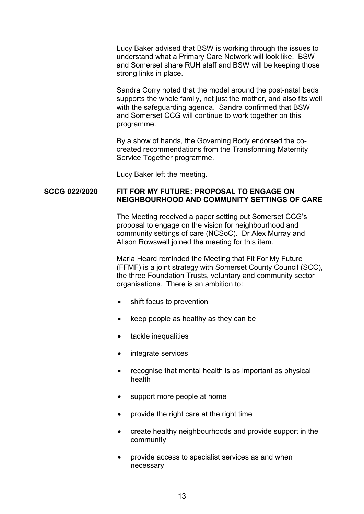Lucy Baker advised that BSW is working through the issues to understand what a Primary Care Network will look like. BSW and Somerset share RUH staff and BSW will be keeping those strong links in place.

 Sandra Corry noted that the model around the post-natal beds supports the whole family, not just the mother, and also fits well with the safeguarding agenda. Sandra confirmed that BSW and Somerset CCG will continue to work together on this programme.

 By a show of hands, the Governing Body endorsed the cocreated recommendations from the Transforming Maternity Service Together programme.

Lucy Baker left the meeting.

### **SCCG 022/2020 FIT FOR MY FUTURE: PROPOSAL TO ENGAGE ON NEIGHBOURHOOD AND COMMUNITY SETTINGS OF CARE**

 The Meeting received a paper setting out Somerset CCG's proposal to engage on the vision for neighbourhood and community settings of care (NCSoC). Dr Alex Murray and Alison Rowswell joined the meeting for this item.

 Maria Heard reminded the Meeting that Fit For My Future (FFMF) is a joint strategy with Somerset County Council (SCC), the three Foundation Trusts, voluntary and community sector organisations. There is an ambition to:

- shift focus to prevention
- $\bullet$  keep people as healthy as they can be
- tackle inequalities
- integrate services
- recognise that mental health is as important as physical health
- support more people at home
- provide the right care at the right time
- create healthy neighbourhoods and provide support in the community
- provide access to specialist services as and when necessary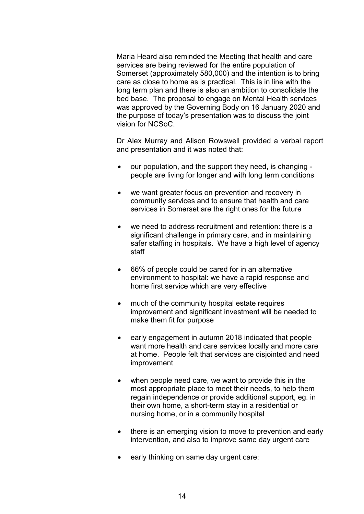Maria Heard also reminded the Meeting that health and care services are being reviewed for the entire population of Somerset (approximately 580,000) and the intention is to bring care as close to home as is practical. This is in line with the long term plan and there is also an ambition to consolidate the bed base. The proposal to engage on Mental Health services was approved by the Governing Body on 16 January 2020 and the purpose of today's presentation was to discuss the joint vision for NCSoC.

 Dr Alex Murray and Alison Rowswell provided a verbal report and presentation and it was noted that:

- our population, and the support they need, is changing people are living for longer and with long term conditions
- we want greater focus on prevention and recovery in community services and to ensure that health and care services in Somerset are the right ones for the future
- we need to address recruitment and retention: there is a significant challenge in primary care, and in maintaining safer staffing in hospitals. We have a high level of agency staff
- 66% of people could be cared for in an alternative environment to hospital: we have a rapid response and home first service which are very effective
- much of the community hospital estate requires improvement and significant investment will be needed to make them fit for purpose
- early engagement in autumn 2018 indicated that people want more health and care services locally and more care at home. People felt that services are disjointed and need improvement
- when people need care, we want to provide this in the most appropriate place to meet their needs, to help them regain independence or provide additional support, eg. in their own home, a short-term stay in a residential or nursing home, or in a community hospital
- there is an emerging vision to move to prevention and early intervention, and also to improve same day urgent care
- early thinking on same day urgent care: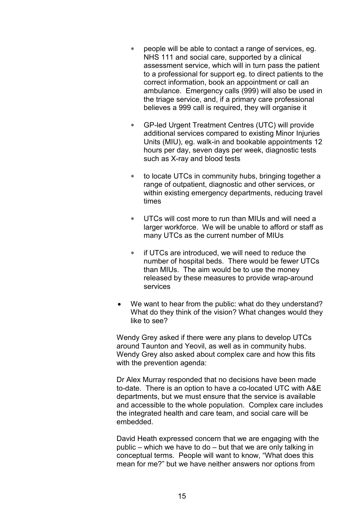- people will be able to contact a range of services, eg. NHS 111 and social care, supported by a clinical assessment service, which will in turn pass the patient to a professional for support eg. to direct patients to the correct information, book an appointment or call an ambulance. Emergency calls (999) will also be used in the triage service, and, if a primary care professional believes a 999 call is required, they will organise it
- GP-led Urgent Treatment Centres (UTC) will provide additional services compared to existing Minor Injuries Units (MIU), eg. walk-in and bookable appointments 12 hours per day, seven days per week, diagnostic tests such as X-ray and blood tests
- \* to locate UTCs in community hubs, bringing together a range of outpatient, diagnostic and other services, or within existing emergency departments, reducing travel times
- UTCs will cost more to run than MIUs and will need a larger workforce. We will be unable to afford or staff as many UTCs as the current number of MIUs
- if UTCs are introduced, we will need to reduce the number of hospital beds. There would be fewer UTCs than MIUs. The aim would be to use the money released by these measures to provide wrap-around services
- We want to hear from the public: what do they understand? What do they think of the vision? What changes would they like to see?

 Wendy Grey asked if there were any plans to develop UTCs around Taunton and Yeovil, as well as in community hubs. Wendy Grey also asked about complex care and how this fits with the prevention agenda:

 Dr Alex Murray responded that no decisions have been made to-date. There is an option to have a co-located UTC with A&E departments, but we must ensure that the service is available and accessible to the whole population. Complex care includes the integrated health and care team, and social care will be embedded.

 David Heath expressed concern that we are engaging with the public – which we have to do – but that we are only talking in conceptual terms. People will want to know, "What does this mean for me?" but we have neither answers nor options from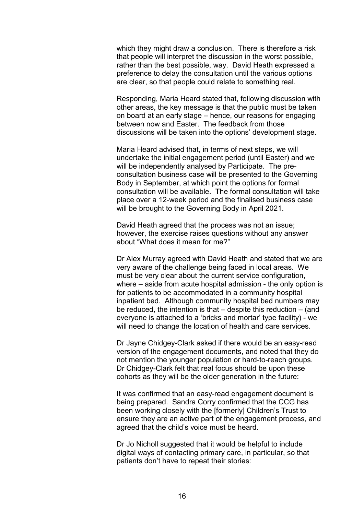which they might draw a conclusion. There is therefore a risk that people will interpret the discussion in the worst possible, rather than the best possible, way. David Heath expressed a preference to delay the consultation until the various options are clear, so that people could relate to something real.

 Responding, Maria Heard stated that, following discussion with other areas, the key message is that the public must be taken on board at an early stage – hence, our reasons for engaging between now and Easter. The feedback from those discussions will be taken into the options' development stage.

 Maria Heard advised that, in terms of next steps, we will undertake the initial engagement period (until Easter) and we will be independently analysed by Participate. The preconsultation business case will be presented to the Governing Body in September, at which point the options for formal consultation will be available. The formal consultation will take place over a 12-week period and the finalised business case will be brought to the Governing Body in April 2021.

 David Heath agreed that the process was not an issue; however, the exercise raises questions without any answer about "What does it mean for me?"

 Dr Alex Murray agreed with David Heath and stated that we are very aware of the challenge being faced in local areas. We must be very clear about the current service configuration, where – aside from acute hospital admission - the only option is for patients to be accommodated in a community hospital inpatient bed. Although community hospital bed numbers may be reduced, the intention is that  $-$  despite this reduction  $-$  (and everyone is attached to a 'bricks and mortar' type facility) - we will need to change the location of health and care services.

 Dr Jayne Chidgey-Clark asked if there would be an easy-read version of the engagement documents, and noted that they do not mention the younger population or hard-to-reach groups. Dr Chidgey-Clark felt that real focus should be upon these cohorts as they will be the older generation in the future:

 It was confirmed that an easy-read engagement document is being prepared. Sandra Corry confirmed that the CCG has been working closely with the [formerly] Children's Trust to ensure they are an active part of the engagement process, and agreed that the child's voice must be heard.

 Dr Jo Nicholl suggested that it would be helpful to include digital ways of contacting primary care, in particular, so that patients don't have to repeat their stories: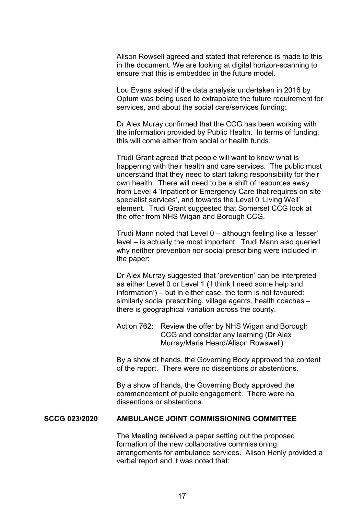Alison Rowsell agreed and stated that reference is made to this in the document. We are looking at digital horizon-scanning to ensure that this is embedded in the future model.

 Lou Evans asked if the data analysis undertaken in 2016 by Optum was being used to extrapolate the future requirement for services, and about the social care/services funding:

 Dr Alex Muray confirmed that the CCG has been working with the information provided by Public Health. In terms of funding, this will come either from social or health funds.

 Trudi Grant agreed that people will want to know what is happening with their health and care services. The public must understand that they need to start taking responsibility for their own health. There will need to be a shift of resources away from Level 4 'Inpatient or Emergency Care that requires on site specialist services', and towards the Level 0 'Living Well' element. Trudi Grant suggested that Somerset CCG look at the offer from NHS Wigan and Borough CCG.

 Trudi Mann noted that Level 0 – although feeling like a 'lesser' level – is actually the most important. Trudi Mann also queried why neither prevention nor social prescribing were included in the paper:

 Dr Alex Murray suggested that 'prevention' can be interpreted as either Level 0 or Level 1 ('I think I need some help and information') – but in either case, the term is not favoured: similarly social prescribing, village agents, health coaches – there is geographical variation across the county.

 Action 762: Review the offer by NHS Wigan and Borough CCG and consider any learning (Dr Alex Murray/Maria Heard/Alison Rowswell)

 By a show of hands, the Governing Body approved the content of the report. There were no dissentions or abstentions.

 By a show of hands, the Governing Body approved the commencement of public engagement. There were no dissentions or abstentions.

# **SCCG 023/2020 AMBULANCE JOINT COMMISSIONING COMMITTEE**

 The Meeting received a paper setting out the proposed formation of the new collaborative commissioning arrangements for ambulance services. Alison Henly provided a verbal report and it was noted that: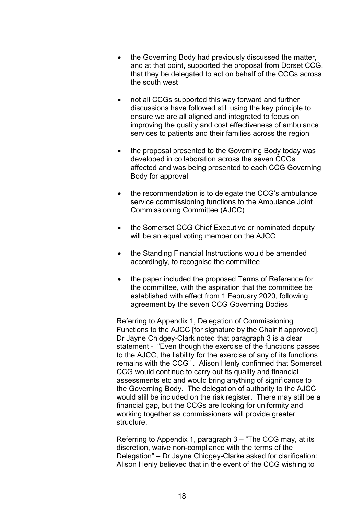- the Governing Body had previously discussed the matter, and at that point, supported the proposal from Dorset CCG, that they be delegated to act on behalf of the CCGs across the south west
- not all CCGs supported this way forward and further discussions have followed still using the key principle to ensure we are all aligned and integrated to focus on improving the quality and cost effectiveness of ambulance services to patients and their families across the region
- the proposal presented to the Governing Body today was developed in collaboration across the seven CCGs affected and was being presented to each CCG Governing Body for approval
- the recommendation is to delegate the CCG's ambulance service commissioning functions to the Ambulance Joint Commissioning Committee (AJCC)
- the Somerset CCG Chief Executive or nominated deputy will be an equal voting member on the AJCC
- the Standing Financial Instructions would be amended accordingly, to recognise the committee
- the paper included the proposed Terms of Reference for the committee, with the aspiration that the committee be established with effect from 1 February 2020, following agreement by the seven CCG Governing Bodies

 Referring to Appendix 1, Delegation of Commissioning Functions to the AJCC [for signature by the Chair if approved], Dr Jayne Chidgey-Clark noted that paragraph 3 is a clear statement - "Even though the exercise of the functions passes to the AJCC, the liability for the exercise of any of its functions remains with the CCG" . Alison Henly confirmed that Somerset CCG would continue to carry out its quality and financial assessments etc and would bring anything of significance to the Governing Body. The delegation of authority to the AJCC would still be included on the risk register. There may still be a financial gap, but the CCGs are looking for uniformity and working together as commissioners will provide greater structure.

 Referring to Appendix 1, paragraph 3 – "The CCG may, at its discretion, waive non-compliance with the terms of the Delegation" – Dr Jayne Chidgey-Clarke asked for clarification: Alison Henly believed that in the event of the CCG wishing to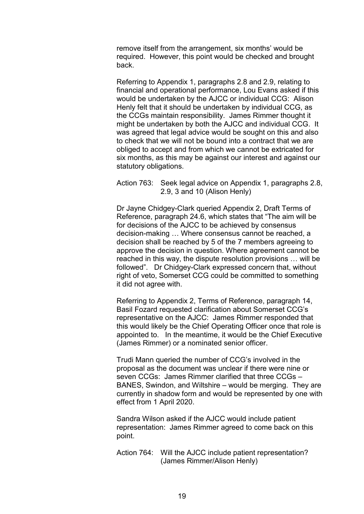remove itself from the arrangement, six months' would be required. However, this point would be checked and brought back.

 Referring to Appendix 1, paragraphs 2.8 and 2.9, relating to financial and operational performance, Lou Evans asked if this would be undertaken by the AJCC or individual CCG: Alison Henly felt that it should be undertaken by individual CCG, as the CCGs maintain responsibility. James Rimmer thought it might be undertaken by both the AJCC and individual CCG. It was agreed that legal advice would be sought on this and also to check that we will not be bound into a contract that we are obliged to accept and from which we cannot be extricated for six months, as this may be against our interest and against our statutory obligations.

 Action 763: Seek legal advice on Appendix 1, paragraphs 2.8, 2.9, 3 and 10 (Alison Henly)

 Dr Jayne Chidgey-Clark queried Appendix 2, Draft Terms of Reference, paragraph 24.6, which states that "The aim will be for decisions of the AJCC to be achieved by consensus decision-making … Where consensus cannot be reached, a decision shall be reached by 5 of the 7 members agreeing to approve the decision in question. Where agreement cannot be reached in this way, the dispute resolution provisions … will be followed". Dr Chidgey-Clark expressed concern that, without right of veto, Somerset CCG could be committed to something it did not agree with.

 Referring to Appendix 2, Terms of Reference, paragraph 14, Basil Fozard requested clarification about Somerset CCG's representative on the AJCC: James Rimmer responded that this would likely be the Chief Operating Officer once that role is appointed to. In the meantime, it would be the Chief Executive (James Rimmer) or a nominated senior officer.

 Trudi Mann queried the number of CCG's involved in the proposal as the document was unclear if there were nine or seven CCGs: James Rimmer clarified that three CCGs – BANES, Swindon, and Wiltshire – would be merging. They are currently in shadow form and would be represented by one with effect from 1 April 2020.

 Sandra Wilson asked if the AJCC would include patient representation: James Rimmer agreed to come back on this point.

 Action 764: Will the AJCC include patient representation? (James Rimmer/Alison Henly)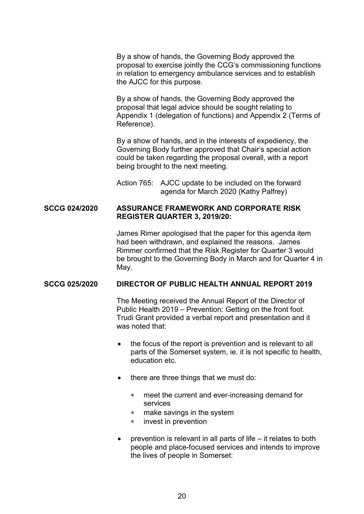By a show of hands, the Governing Body approved the proposal to exercise jointly the CCG's commissioning functions in relation to emergency ambulance services and to establish the AJCC for this purpose.

 By a show of hands, the Governing Body approved the proposal that legal advice should be sought relating to Appendix 1 (delegation of functions) and Appendix 2 (Terms of Reference).

 By a show of hands, and in the interests of expediency, the Governing Body further approved that Chair's special action could be taken regarding the proposal overall, with a report being brought to the next meeting.

 Action 765: AJCC update to be included on the forward agenda for March 2020 (Kathy Palfrey)

# **SCCG 024/2020 ASSURANCE FRAMEWORK AND CORPORATE RISK REGISTER QUARTER 3, 2019/20:**

 James Rimer apologised that the paper for this agenda item had been withdrawn, and explained the reasons. James Rimmer confirmed that the Risk Register for Quarter 3 would be brought to the Governing Body in March and for Quarter 4 in May.

### **SCCG 025/2020 DIRECTOR OF PUBLIC HEALTH ANNUAL REPORT 2019**

 The Meeting received the Annual Report of the Director of Public Health 2019 – Prevention: Getting on the front foot. Trudi Grant provided a verbal report and presentation and it was noted that:

- the focus of the report is prevention and is relevant to all parts of the Somerset system, ie. it is not specific to health, education etc.
- $\bullet$  there are three things that we must do:
	- meet the current and ever-increasing demand for services
	- make savings in the system
	- invest in prevention
- prevention is relevant in all parts of life it relates to both people and place-focused services and intends to improve the lives of people in Somerset: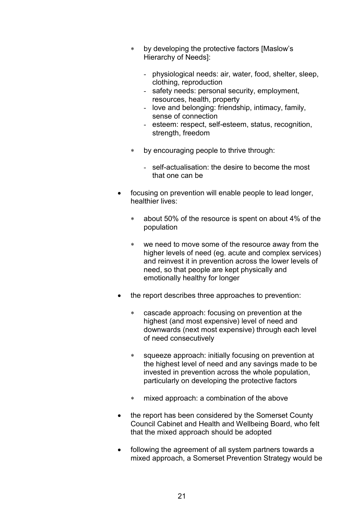- by developing the protective factors [Maslow's Hierarchy of Needs]:
	- physiological needs: air, water, food, shelter, sleep, clothing, reproduction
	- safety needs: personal security, employment, resources, health, property
	- love and belonging: friendship, intimacy, family, sense of connection
	- esteem: respect, self-esteem, status, recognition, strength, freedom
- by encouraging people to thrive through:
	- self-actualisation: the desire to become the most that one can be
- focusing on prevention will enable people to lead longer, healthier lives:
	- about 50% of the resource is spent on about 4% of the population
	- we need to move some of the resource away from the higher levels of need (eg. acute and complex services) and reinvest it in prevention across the lower levels of need, so that people are kept physically and emotionally healthy for longer
- the report describes three approaches to prevention:
	- cascade approach: focusing on prevention at the highest (and most expensive) level of need and downwards (next most expensive) through each level of need consecutively
	- squeeze approach: initially focusing on prevention at the highest level of need and any savings made to be invested in prevention across the whole population, particularly on developing the protective factors
	- mixed approach: a combination of the above
- the report has been considered by the Somerset County Council Cabinet and Health and Wellbeing Board, who felt that the mixed approach should be adopted
- following the agreement of all system partners towards a mixed approach, a Somerset Prevention Strategy would be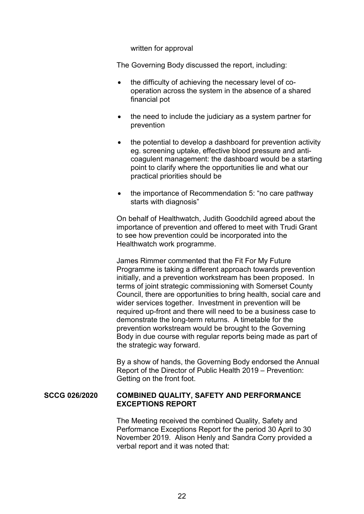written for approval

The Governing Body discussed the report, including:

- the difficulty of achieving the necessary level of cooperation across the system in the absence of a shared financial pot
- the need to include the judiciary as a system partner for prevention
- the potential to develop a dashboard for prevention activity eg. screening uptake, effective blood pressure and anticoagulent management: the dashboard would be a starting point to clarify where the opportunities lie and what our practical priorities should be
- the importance of Recommendation 5: "no care pathway starts with diagnosis"

 On behalf of Healthwatch, Judith Goodchild agreed about the importance of prevention and offered to meet with Trudi Grant to see how prevention could be incorporated into the Healthwatch work programme.

 James Rimmer commented that the Fit For My Future Programme is taking a different approach towards prevention initially, and a prevention workstream has been proposed. In terms of joint strategic commissioning with Somerset County Council, there are opportunities to bring health, social care and wider services together. Investment in prevention will be required up-front and there will need to be a business case to demonstrate the long-term returns. A timetable for the prevention workstream would be brought to the Governing Body in due course with regular reports being made as part of the strategic way forward.

 By a show of hands, the Governing Body endorsed the Annual Report of the Director of Public Health 2019 – Prevention: Getting on the front foot.

## **SCCG 026/2020 COMBINED QUALITY, SAFETY AND PERFORMANCE EXCEPTIONS REPORT**

 The Meeting received the combined Quality, Safety and Performance Exceptions Report for the period 30 April to 30 November 2019. Alison Henly and Sandra Corry provided a verbal report and it was noted that: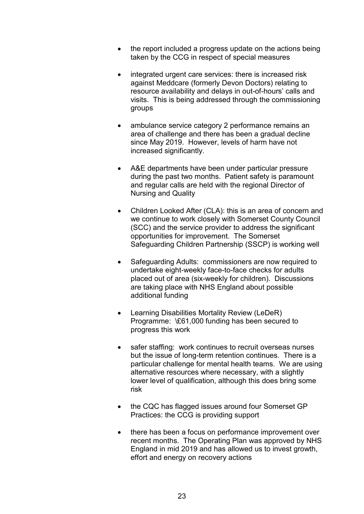- the report included a progress update on the actions being taken by the CCG in respect of special measures
- integrated urgent care services: there is increased risk against Meddcare (formerly Devon Doctors) relating to resource availability and delays in out-of-hours' calls and visits. This is being addressed through the commissioning groups
- ambulance service category 2 performance remains an area of challenge and there has been a gradual decline since May 2019. However, levels of harm have not increased significantly.
- A&E departments have been under particular pressure during the past two months. Patient safety is paramount and regular calls are held with the regional Director of Nursing and Quality
- Children Looked After (CLA): this is an area of concern and we continue to work closely with Somerset County Council (SCC) and the service provider to address the significant opportunities for improvement. The Somerset Safeguarding Children Partnership (SSCP) is working well
- Safeguarding Adults: commissioners are now required to undertake eight-weekly face-to-face checks for adults placed out of area (six-weekly for children). Discussions are taking place with NHS England about possible additional funding
- Learning Disabilities Mortality Review (LeDeR) Programme: \£61,000 funding has been secured to progress this work
- safer staffing: work continues to recruit overseas nurses but the issue of long-term retention continues. There is a particular challenge for mental health teams. We are using alternative resources where necessary, with a slightly lower level of qualification, although this does bring some risk
- the CQC has flagged issues around four Somerset GP Practices: the CCG is providing support
- there has been a focus on performance improvement over recent months. The Operating Plan was approved by NHS England in mid 2019 and has allowed us to invest growth, effort and energy on recovery actions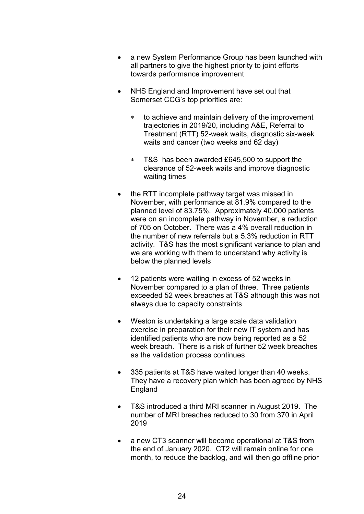- a new System Performance Group has been launched with all partners to give the highest priority to joint efforts towards performance improvement
- NHS England and Improvement have set out that Somerset CCG's top priorities are:
	- to achieve and maintain delivery of the improvement trajectories in 2019/20, including A&E, Referral to Treatment (RTT) 52-week waits, diagnostic six-week waits and cancer (two weeks and 62 day)
	- T&S has been awarded £645,500 to support the clearance of 52-week waits and improve diagnostic waiting times
- the RTT incomplete pathway target was missed in November, with performance at 81.9% compared to the planned level of 83.75%. Approximately 40,000 patients were on an incomplete pathway in November, a reduction of 705 on October. There was a 4% overall reduction in the number of new referrals but a 5.3% reduction in RTT activity. T&S has the most significant variance to plan and we are working with them to understand why activity is below the planned levels
- 12 patients were waiting in excess of 52 weeks in November compared to a plan of three. Three patients exceeded 52 week breaches at T&S although this was not always due to capacity constraints
- Weston is undertaking a large scale data validation exercise in preparation for their new IT system and has identified patients who are now being reported as a 52 week breach. There is a risk of further 52 week breaches as the validation process continues
- 335 patients at T&S have waited longer than 40 weeks. They have a recovery plan which has been agreed by NHS England
- T&S introduced a third MRI scanner in August 2019. The number of MRI breaches reduced to 30 from 370 in April 2019
- a new CT3 scanner will become operational at T&S from the end of January 2020. CT2 will remain online for one month, to reduce the backlog, and will then go offline prior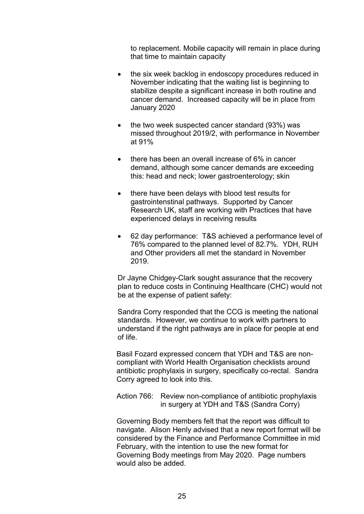to replacement. Mobile capacity will remain in place during that time to maintain capacity

- the six week backlog in endoscopy procedures reduced in November indicating that the waiting list is beginning to stabilize despite a significant increase in both routine and cancer demand. Increased capacity will be in place from January 2020
- $\bullet$  the two week suspected cancer standard (93%) was missed throughout 2019/2, with performance in November at 91%
- there has been an overall increase of 6% in cancer demand, although some cancer demands are exceeding this: head and neck; lower gastroenterology; skin
- there have been delays with blood test results for gastrointenstinal pathways. Supported by Cancer Research UK, staff are working with Practices that have experienced delays in receiving results
- 62 day performance: T&S achieved a performance level of 76% compared to the planned level of 82.7%. YDH, RUH and Other providers all met the standard in November 2019.

 Dr Jayne Chidgey-Clark sought assurance that the recovery plan to reduce costs in Continuing Healthcare (CHC) would not be at the expense of patient safety:

 Sandra Corry responded that the CCG is meeting the national standards. However, we continue to work with partners to understand if the right pathways are in place for people at end of life.

 Basil Fozard expressed concern that YDH and T&S are noncompliant with World Health Organisation checklists around antibiotic prophylaxis in surgery, specifically co-rectal. Sandra Corry agreed to look into this.

 Action 766: Review non-compliance of antibiotic prophylaxis in surgery at YDH and T&S (Sandra Corry)

 Governing Body members felt that the report was difficult to navigate. Alison Henly advised that a new report format will be considered by the Finance and Performance Committee in mid February, with the intention to use the new format for Governing Body meetings from May 2020. Page numbers would also be added.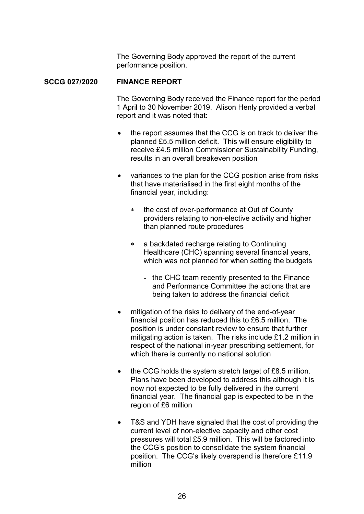The Governing Body approved the report of the current performance position.

## **SCCG 027/2020 FINANCE REPORT**

 The Governing Body received the Finance report for the period 1 April to 30 November 2019. Alison Henly provided a verbal report and it was noted that:

- the report assumes that the CCG is on track to deliver the planned £5.5 million deficit. This will ensure eligibility to receive £4.5 million Commissioner Sustainability Funding, results in an overall breakeven position
- variances to the plan for the CCG position arise from risks that have materialised in the first eight months of the financial year, including:
	- \* the cost of over-performance at Out of County providers relating to non-elective activity and higher than planned route procedures
	- a backdated recharge relating to Continuing Healthcare (CHC) spanning several financial years, which was not planned for when setting the budgets
		- the CHC team recently presented to the Finance and Performance Committee the actions that are being taken to address the financial deficit
- mitigation of the risks to delivery of the end-of-year financial position has reduced this to £6.5 million. The position is under constant review to ensure that further mitigating action is taken. The risks include £1.2 million in respect of the national in-year prescribing settlement, for which there is currently no national solution
- the CCG holds the system stretch target of £8.5 million. Plans have been developed to address this although it is now not expected to be fully delivered in the current financial year. The financial gap is expected to be in the region of £6 million
- T&S and YDH have signaled that the cost of providing the current level of non-elective capacity and other cost pressures will total £5.9 million. This will be factored into the CCG's position to consolidate the system financial position. The CCG's likely overspend is therefore £11.9 million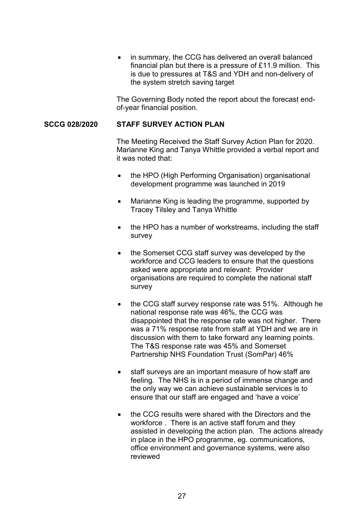• in summary, the CCG has delivered an overall balanced financial plan but there is a pressure of £11.9 million. This is due to pressures at T&S and YDH and non-delivery of the system stretch saving target

 The Governing Body noted the report about the forecast endof-year financial position.

# **SCCG 028/2020 STAFF SURVEY ACTION PLAN**

 The Meeting Received the Staff Survey Action Plan for 2020. Marianne King and Tanya Whittle provided a verbal report and it was noted that:

- the HPO (High Performing Organisation) organisational development programme was launched in 2019
- Marianne King is leading the programme, supported by Tracey Tilsley and Tanya Whittle
- the HPO has a number of workstreams, including the staff survey
- the Somerset CCG staff survey was developed by the workforce and CCG leaders to ensure that the questions asked were appropriate and relevant: Provider organisations are required to complete the national staff survey
- the CCG staff survey response rate was 51%. Although he national response rate was 46%, the CCG was disappointed that the response rate was not higher. There was a 71% response rate from staff at YDH and we are in discussion with them to take forward any learning points. The T&S response rate was 45% and Somerset Partnership NHS Foundation Trust (SomPar) 46%
- staff surveys are an important measure of how staff are feeling. The NHS is in a period of immense change and the only way we can achieve sustainable services is to ensure that our staff are engaged and 'have a voice'
- the CCG results were shared with the Directors and the workforce . There is an active staff forum and they assisted in developing the action plan. The actions already in place in the HPO programme, eg. communications, office environment and governance systems, were also reviewed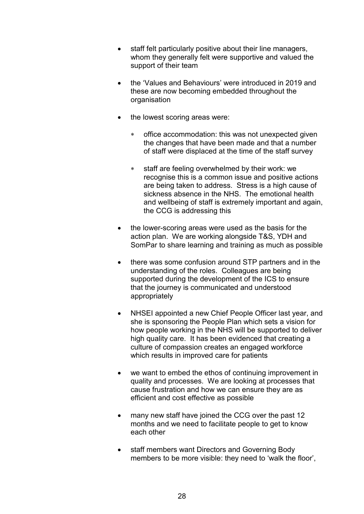- staff felt particularly positive about their line managers, whom they generally felt were supportive and valued the support of their team
- the 'Values and Behaviours' were introduced in 2019 and these are now becoming embedded throughout the organisation
- the lowest scoring areas were:
	- office accommodation: this was not unexpected given the changes that have been made and that a number of staff were displaced at the time of the staff survey
	- staff are feeling overwhelmed by their work: we recognise this is a common issue and positive actions are being taken to address. Stress is a high cause of sickness absence in the NHS The emotional health and wellbeing of staff is extremely important and again, the CCG is addressing this
- the lower-scoring areas were used as the basis for the action plan. We are working alongside T&S, YDH and SomPar to share learning and training as much as possible
- there was some confusion around STP partners and in the understanding of the roles. Colleagues are being supported during the development of the ICS to ensure that the journey is communicated and understood appropriately
- NHSEI appointed a new Chief People Officer last year, and she is sponsoring the People Plan which sets a vision for how people working in the NHS will be supported to deliver high quality care. It has been evidenced that creating a culture of compassion creates an engaged workforce which results in improved care for patients
- we want to embed the ethos of continuing improvement in quality and processes. We are looking at processes that cause frustration and how we can ensure they are as efficient and cost effective as possible
- many new staff have joined the CCG over the past 12 months and we need to facilitate people to get to know each other
- staff members want Directors and Governing Body members to be more visible: they need to 'walk the floor',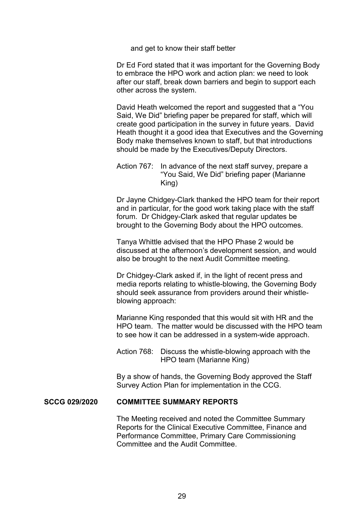and get to know their staff better

 Dr Ed Ford stated that it was important for the Governing Body to embrace the HPO work and action plan: we need to look after our staff, break down barriers and begin to support each other across the system.

 David Heath welcomed the report and suggested that a "You Said, We Did" briefing paper be prepared for staff, which will create good participation in the survey in future years. David Heath thought it a good idea that Executives and the Governing Body make themselves known to staff, but that introductions should be made by the Executives/Deputy Directors.

### Action 767: In advance of the next staff survey, prepare a "You Said, We Did" briefing paper (Marianne King)

 Dr Jayne Chidgey-Clark thanked the HPO team for their report and in particular, for the good work taking place with the staff forum. Dr Chidgey-Clark asked that regular updates be brought to the Governing Body about the HPO outcomes.

 Tanya Whittle advised that the HPO Phase 2 would be discussed at the afternoon's development session, and would also be brought to the next Audit Committee meeting.

 Dr Chidgey-Clark asked if, in the light of recent press and media reports relating to whistle-blowing, the Governing Body should seek assurance from providers around their whistleblowing approach:

 Marianne King responded that this would sit with HR and the HPO team. The matter would be discussed with the HPO team to see how it can be addressed in a system-wide approach.

 Action 768: Discuss the whistle-blowing approach with the HPO team (Marianne King)

 By a show of hands, the Governing Body approved the Staff Survey Action Plan for implementation in the CCG.

#### **SCCG 029/2020 COMMITTEE SUMMARY REPORTS**

 The Meeting received and noted the Committee Summary Reports for the Clinical Executive Committee, Finance and Performance Committee, Primary Care Commissioning Committee and the Audit Committee.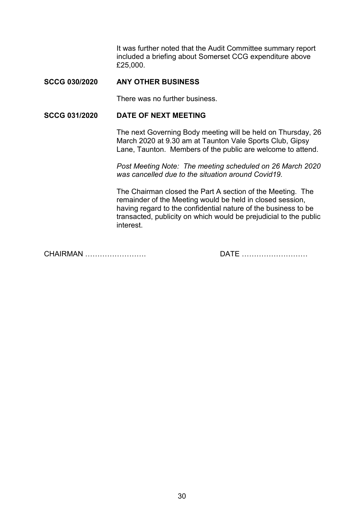It was further noted that the Audit Committee summary report included a briefing about Somerset CCG expenditure above £25,000.

# **SCCG 030/2020 ANY OTHER BUSINESS**

There was no further business.

# **SCCG 031/2020 DATE OF NEXT MEETING**

 The next Governing Body meeting will be held on Thursday, 26 March 2020 at 9.30 am at Taunton Vale Sports Club, Gipsy Lane, Taunton. Members of the public are welcome to attend.

*Post Meeting Note: The meeting scheduled on 26 March 2020 was cancelled due to the situation around Covid19.* 

 The Chairman closed the Part A section of the Meeting. The remainder of the Meeting would be held in closed session, having regard to the confidential nature of the business to be transacted, publicity on which would be prejudicial to the public interest.

CHAIRMAN ……………………. DATE ………………………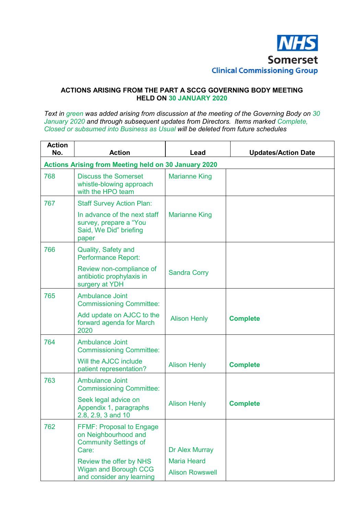

#### **ACTIONS ARISING FROM THE PART A SCCG GOVERNING BODY MEETING HELD ON 30 JANUARY 2020**

*Text in green was added arising from discussion at the meeting of the Governing Body on 30*  January 2020 and through subsequent updates from Directors. Items marked Complete, *Closed or subsumed into Business as Usual will be deleted from future schedules* 

| <b>Action</b><br>No. | <b>Action</b>                                                                                    | Lead                                         | <b>Updates/Action Date</b> |  |  |
|----------------------|--------------------------------------------------------------------------------------------------|----------------------------------------------|----------------------------|--|--|
|                      | <b>Actions Arising from Meeting held on 30 January 2020</b>                                      |                                              |                            |  |  |
| 768                  | <b>Discuss the Somerset</b><br>whistle-blowing approach<br>with the HPO team                     | <b>Marianne King</b>                         |                            |  |  |
| 767                  | <b>Staff Survey Action Plan:</b>                                                                 |                                              |                            |  |  |
|                      | In advance of the next staff<br>survey, prepare a "You<br>Said, We Did" briefing<br>paper        | <b>Marianne King</b>                         |                            |  |  |
| 766                  | Quality, Safety and<br><b>Performance Report:</b>                                                |                                              |                            |  |  |
|                      | Review non-compliance of<br>antibiotic prophylaxis in<br>surgery at YDH                          | <b>Sandra Corry</b>                          |                            |  |  |
| 765                  | <b>Ambulance Joint</b><br><b>Commissioning Committee:</b>                                        |                                              |                            |  |  |
|                      | Add update on AJCC to the<br>forward agenda for March<br>2020                                    | <b>Alison Henly</b>                          | <b>Complete</b>            |  |  |
| 764                  | <b>Ambulance Joint</b><br><b>Commissioning Committee:</b>                                        |                                              |                            |  |  |
|                      | Will the AJCC include<br>patient representation?                                                 | <b>Alison Henly</b>                          | <b>Complete</b>            |  |  |
| 763                  | <b>Ambulance Joint</b><br><b>Commissioning Committee:</b>                                        |                                              |                            |  |  |
|                      | Seek legal advice on<br>Appendix 1, paragraphs<br>2.8, 2.9, 3 and 10                             | <b>Alison Henly</b>                          | <b>Complete</b>            |  |  |
| 762                  | <b>FFMF: Proposal to Engage</b><br>on Neighbourhood and<br><b>Community Settings of</b><br>Care: | Dr Alex Murray                               |                            |  |  |
|                      | Review the offer by NHS<br><b>Wigan and Borough CCG</b><br>and consider any learning             | <b>Maria Heard</b><br><b>Alison Rowswell</b> |                            |  |  |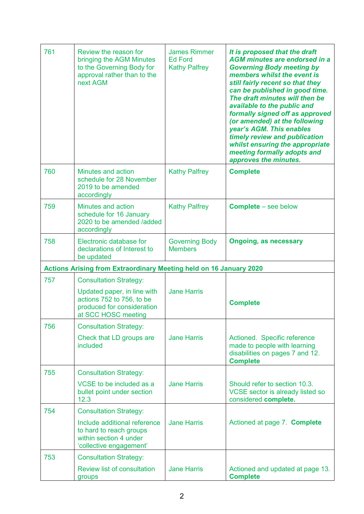| 761 | Review the reason for<br>bringing the AGM Minutes<br>to the Governing Body for<br>approval rather than to the<br>next AGM | <b>James Rimmer</b><br><b>Ed Ford</b><br><b>Kathy Palfrey</b> | It is proposed that the draft<br><b>AGM minutes are endorsed in a</b><br><b>Governing Body meeting by</b><br>members whilst the event is<br>still fairly recent so that they<br>can be published in good time.<br>The draft minutes will then be<br>available to the public and<br>formally signed off as approved<br>(or amended) at the following<br>year's AGM. This enables<br>timely review and publication<br>whilst ensuring the appropriate<br>meeting formally adopts and<br>approves the minutes. |
|-----|---------------------------------------------------------------------------------------------------------------------------|---------------------------------------------------------------|-------------------------------------------------------------------------------------------------------------------------------------------------------------------------------------------------------------------------------------------------------------------------------------------------------------------------------------------------------------------------------------------------------------------------------------------------------------------------------------------------------------|
| 760 | <b>Minutes and action</b><br>schedule for 28 November<br>2019 to be amended<br>accordingly                                | <b>Kathy Palfrey</b>                                          | <b>Complete</b>                                                                                                                                                                                                                                                                                                                                                                                                                                                                                             |
| 759 | <b>Minutes and action</b><br>schedule for 16 January<br>2020 to be amended /added<br>accordingly                          | <b>Kathy Palfrey</b>                                          | <b>Complete</b> – see below                                                                                                                                                                                                                                                                                                                                                                                                                                                                                 |
| 758 | Electronic database for<br>declarations of Interest to<br>be updated                                                      | <b>Governing Body</b><br><b>Members</b>                       | <b>Ongoing, as necessary</b>                                                                                                                                                                                                                                                                                                                                                                                                                                                                                |
|     | <b>Actions Arising from Extraordinary Meeting held on 16 January 2020</b>                                                 |                                                               |                                                                                                                                                                                                                                                                                                                                                                                                                                                                                                             |
| 757 | <b>Consultation Strategy:</b>                                                                                             |                                                               |                                                                                                                                                                                                                                                                                                                                                                                                                                                                                                             |
|     | Updated paper, in line with<br>actions 752 to 756, to be<br>produced for consideration<br>at SCC HOSC meeting             | <b>Jane Harris</b>                                            | <b>Complete</b>                                                                                                                                                                                                                                                                                                                                                                                                                                                                                             |
| 756 | <b>Consultation Strategy:</b>                                                                                             |                                                               |                                                                                                                                                                                                                                                                                                                                                                                                                                                                                                             |
|     | Check that LD groups are<br>included                                                                                      | <b>Jane Harris</b>                                            | Actioned. Specific reference<br>made to people with learning<br>disabilities on pages 7 and 12.<br><b>Complete</b>                                                                                                                                                                                                                                                                                                                                                                                          |
| 755 | <b>Consultation Strategy:</b>                                                                                             |                                                               |                                                                                                                                                                                                                                                                                                                                                                                                                                                                                                             |
|     | VCSE to be included as a<br>bullet point under section<br>12.3                                                            | <b>Jane Harris</b>                                            | Should refer to section 10.3.<br>VCSE sector is already listed so<br>considered complete.                                                                                                                                                                                                                                                                                                                                                                                                                   |
| 754 | <b>Consultation Strategy:</b>                                                                                             |                                                               |                                                                                                                                                                                                                                                                                                                                                                                                                                                                                                             |
|     | Include additional reference<br>to hard to reach groups<br>within section 4 under<br>'collective engagement'              | <b>Jane Harris</b>                                            | Actioned at page 7. Complete                                                                                                                                                                                                                                                                                                                                                                                                                                                                                |
| 753 | <b>Consultation Strategy:</b>                                                                                             |                                                               |                                                                                                                                                                                                                                                                                                                                                                                                                                                                                                             |
|     | <b>Review list of consultation</b><br>groups                                                                              | <b>Jane Harris</b>                                            | Actioned and updated at page 13.<br><b>Complete</b>                                                                                                                                                                                                                                                                                                                                                                                                                                                         |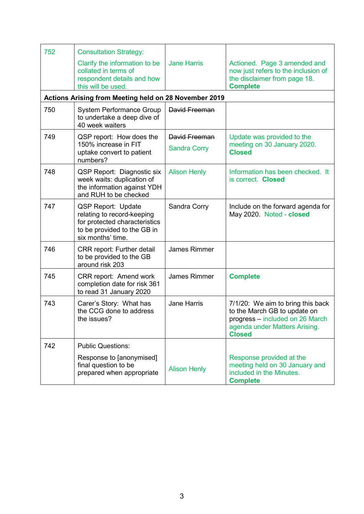| 752 | <b>Consultation Strategy:</b>                                                                                                                |                                      |                                                                                                                                                        |
|-----|----------------------------------------------------------------------------------------------------------------------------------------------|--------------------------------------|--------------------------------------------------------------------------------------------------------------------------------------------------------|
|     | Clarify the information to be<br>collated in terms of<br>respondent details and how<br>this will be used.                                    | <b>Jane Harris</b>                   | Actioned. Page 3 amended and<br>now just refers to the inclusion of<br>the disclaimer from page 18.<br><b>Complete</b>                                 |
|     | Actions Arising from Meeting held on 28 November 2019                                                                                        |                                      |                                                                                                                                                        |
| 750 | <b>System Performance Group</b><br>to undertake a deep dive of<br>40 week waiters                                                            | David Freeman                        |                                                                                                                                                        |
| 749 | QSP report: How does the<br>150% increase in FIT<br>uptake convert to patient<br>numbers?                                                    | David Freeman<br><b>Sandra Corry</b> | Update was provided to the<br>meeting on 30 January 2020.<br><b>Closed</b>                                                                             |
| 748 | <b>QSP Report: Diagnostic six</b><br>week waits: duplication of<br>the information against YDH<br>and RUH to be checked                      | <b>Alison Henly</b>                  | Information has been checked. It<br>is correct. Closed                                                                                                 |
| 747 | <b>QSP Report: Update</b><br>relating to record-keeping<br>for protected characteristics<br>to be provided to the GB in<br>six months' time. | Sandra Corry                         | Include on the forward agenda for<br>May 2020. Noted - closed                                                                                          |
| 746 | <b>CRR</b> report: Further detail<br>to be provided to the GB<br>around risk 203                                                             | <b>James Rimmer</b>                  |                                                                                                                                                        |
| 745 | <b>CRR</b> report: Amend work<br>completion date for risk 361<br>to read 31 January 2020                                                     | <b>James Rimmer</b>                  | <b>Complete</b>                                                                                                                                        |
| 743 | Carer's Story: What has<br>the CCG done to address<br>the issues?                                                                            | <b>Jane Harris</b>                   | 7/1/20: We aim to bring this back<br>to the March GB to update on<br>progress - included on 26 March<br>agenda under Matters Arising.<br><b>Closed</b> |
| 742 | <b>Public Questions:</b>                                                                                                                     |                                      |                                                                                                                                                        |
|     | Response to [anonymised]<br>final question to be<br>prepared when appropriate                                                                | <b>Alison Henly</b>                  | Response provided at the<br>meeting held on 30 January and<br>included in the Minutes.<br><b>Complete</b>                                              |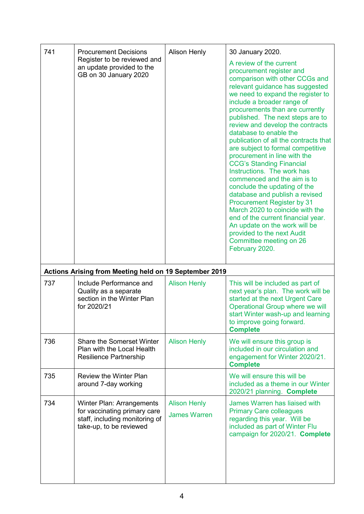| 741 | <b>Procurement Decisions</b>                                                                  | <b>Alison Henly</b> | 30 January 2020.                                                                                                                                                                                                                                                                                                                                                                                                                                                                                                                                                                                                                                                                                                                                                                                                                           |
|-----|-----------------------------------------------------------------------------------------------|---------------------|--------------------------------------------------------------------------------------------------------------------------------------------------------------------------------------------------------------------------------------------------------------------------------------------------------------------------------------------------------------------------------------------------------------------------------------------------------------------------------------------------------------------------------------------------------------------------------------------------------------------------------------------------------------------------------------------------------------------------------------------------------------------------------------------------------------------------------------------|
|     | Register to be reviewed and<br>an update provided to the<br>GB on 30 January 2020             |                     | A review of the current<br>procurement register and<br>comparison with other CCGs and<br>relevant guidance has suggested<br>we need to expand the register to<br>include a broader range of<br>procurements than are currently<br>published. The next steps are to<br>review and develop the contracts<br>database to enable the<br>publication of all the contracts that<br>are subject to formal competitive<br>procurement in line with the<br><b>CCG's Standing Financial</b><br>Instructions. The work has<br>commenced and the aim is to<br>conclude the updating of the<br>database and publish a revised<br><b>Procurement Register by 31</b><br>March 2020 to coincide with the<br>end of the current financial year.<br>An update on the work will be<br>provided to the next Audit<br>Committee meeting on 26<br>February 2020. |
|     |                                                                                               |                     |                                                                                                                                                                                                                                                                                                                                                                                                                                                                                                                                                                                                                                                                                                                                                                                                                                            |
|     | Actions Arising from Meeting held on 19 September 2019                                        |                     |                                                                                                                                                                                                                                                                                                                                                                                                                                                                                                                                                                                                                                                                                                                                                                                                                                            |
| 737 | Include Performance and<br>Quality as a separate<br>section in the Winter Plan<br>for 2020/21 | <b>Alison Henly</b> | This will be included as part of<br>next year's plan. The work will be<br>started at the next Urgent Care<br>Operational Group where we will<br>start Winter wash-up and learning<br>to improve going forward.<br><b>Complete</b>                                                                                                                                                                                                                                                                                                                                                                                                                                                                                                                                                                                                          |
| 736 | Share the Somerset Winter<br>Plan with the Local Health<br>Resilience Partnership             | <b>Alison Henly</b> | We will ensure this group is<br>included in our circulation and<br>engagement for Winter 2020/21.<br><b>Complete</b>                                                                                                                                                                                                                                                                                                                                                                                                                                                                                                                                                                                                                                                                                                                       |
| 735 | <b>Review the Winter Plan</b><br>around 7-day working                                         |                     | We will ensure this will be<br>included as a theme in our Winter<br>2020/21 planning. Complete                                                                                                                                                                                                                                                                                                                                                                                                                                                                                                                                                                                                                                                                                                                                             |